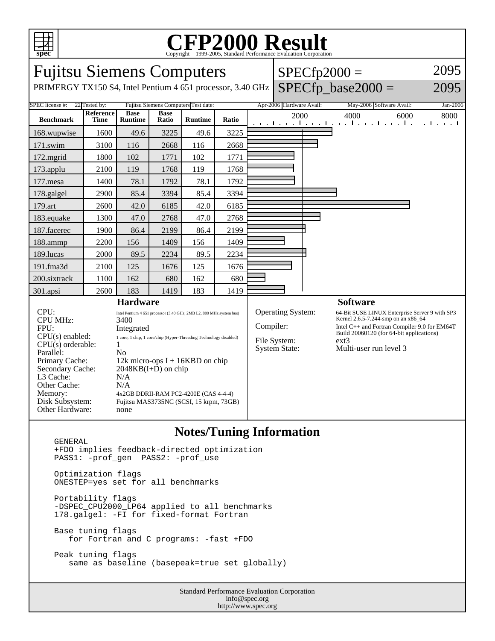

## C<sub>opyright</sub> ©1999-2005, Standard Performance Evaluation Corporation

| <b>Fujitsu Siemens Computers</b>                                                                                                                                                                     |                                 |                                                                                                                                                                                                                                                                            |                      |                |       |  | $SPECfp2000 =$                                    |  |                                                                                                                                                                       | 2095     |
|------------------------------------------------------------------------------------------------------------------------------------------------------------------------------------------------------|---------------------------------|----------------------------------------------------------------------------------------------------------------------------------------------------------------------------------------------------------------------------------------------------------------------------|----------------------|----------------|-------|--|---------------------------------------------------|--|-----------------------------------------------------------------------------------------------------------------------------------------------------------------------|----------|
| PRIMERGY TX150 S4, Intel Pentium 4 651 processor, 3.40 GHz                                                                                                                                           |                                 |                                                                                                                                                                                                                                                                            |                      |                |       |  |                                                   |  | $SPECfp\_base2000 =$                                                                                                                                                  | 2095     |
| SPEC license #:<br>Fujitsu Siemens Computers Test date:<br>22 Tested by:                                                                                                                             |                                 |                                                                                                                                                                                                                                                                            |                      |                |       |  | Apr-2006 Hardware Avail:                          |  | May-2006 Software Avail:                                                                                                                                              | Jan-2006 |
| <b>Benchmark</b>                                                                                                                                                                                     | <b>Reference</b><br><b>Time</b> | <b>Base</b><br><b>Runtime</b>                                                                                                                                                                                                                                              | <b>Base</b><br>Ratio | <b>Runtime</b> | Ratio |  | 2000                                              |  | 4000<br>6000<br>and the continued was the continued with a transit                                                                                                    | 8000     |
| 168.wupwise                                                                                                                                                                                          | 1600                            | 49.6                                                                                                                                                                                                                                                                       | 3225                 | 49.6           | 3225  |  |                                                   |  |                                                                                                                                                                       |          |
| 171.swim                                                                                                                                                                                             | 3100                            | 116                                                                                                                                                                                                                                                                        | 2668                 | 116            | 2668  |  |                                                   |  |                                                                                                                                                                       |          |
| 172.mgrid                                                                                                                                                                                            | 1800                            | 102                                                                                                                                                                                                                                                                        | 1771                 | 102            | 1771  |  |                                                   |  |                                                                                                                                                                       |          |
| 173.applu                                                                                                                                                                                            | 2100                            | 119                                                                                                                                                                                                                                                                        | 1768                 | 119            | 1768  |  |                                                   |  |                                                                                                                                                                       |          |
| 177.mesa                                                                                                                                                                                             | 1400                            | 78.1                                                                                                                                                                                                                                                                       | 1792                 | 78.1           | 1792  |  |                                                   |  |                                                                                                                                                                       |          |
| 178.galgel                                                                                                                                                                                           | 2900                            | 85.4                                                                                                                                                                                                                                                                       | 3394                 | 85.4           | 3394  |  |                                                   |  |                                                                                                                                                                       |          |
| 179.art                                                                                                                                                                                              | 2600                            | 42.0                                                                                                                                                                                                                                                                       | 6185                 | 42.0           | 6185  |  |                                                   |  |                                                                                                                                                                       |          |
| 183.equake                                                                                                                                                                                           | 1300                            | 47.0                                                                                                                                                                                                                                                                       | 2768                 | 47.0           | 2768  |  |                                                   |  |                                                                                                                                                                       |          |
| 187.facerec                                                                                                                                                                                          | 1900                            | 86.4                                                                                                                                                                                                                                                                       | 2199                 | 86.4           | 2199  |  |                                                   |  |                                                                                                                                                                       |          |
| 188.ammp                                                                                                                                                                                             | 2200                            | 156                                                                                                                                                                                                                                                                        | 1409                 | 156            | 1409  |  |                                                   |  |                                                                                                                                                                       |          |
| 189.lucas                                                                                                                                                                                            | 2000                            | 89.5                                                                                                                                                                                                                                                                       | 2234                 | 89.5           | 2234  |  |                                                   |  |                                                                                                                                                                       |          |
| 191.fma3d                                                                                                                                                                                            | 2100                            | 125                                                                                                                                                                                                                                                                        | 1676                 | 125            | 1676  |  |                                                   |  |                                                                                                                                                                       |          |
| 200.sixtrack                                                                                                                                                                                         | 1100                            | 162                                                                                                                                                                                                                                                                        | 680                  | 162            | 680   |  |                                                   |  |                                                                                                                                                                       |          |
| 301.apsi                                                                                                                                                                                             | 2600                            | 183                                                                                                                                                                                                                                                                        | 1419                 | 183            | 1419  |  |                                                   |  |                                                                                                                                                                       |          |
| <b>Hardware</b><br>CPU:<br>Intel Pentium 4 651 processor (3.40 GHz, 2MB L2, 800 MHz system bus)                                                                                                      |                                 |                                                                                                                                                                                                                                                                            |                      |                |       |  | <b>Operating System:</b>                          |  | <b>Software</b><br>64-Bit SUSE LINUX Enterprise Server 9 with SP3                                                                                                     |          |
| <b>CPU MHz:</b><br>FPU:<br>$CPU(s)$ enabled:<br>$CPU(s)$ orderable:<br>Parallel:<br>Primary Cache:<br>Secondary Cache:<br>L3 Cache:<br>Other Cache:<br>Memory:<br>Disk Subsystem:<br>Other Hardware: |                                 | 3400<br>Integrated<br>1 core, 1 chip, 1 core/chip (Hyper-Threading Technology disabled)<br>1<br>No<br>12k micro-ops $I + 16KBD$ on chip<br>$2048KB(I+D)$ on chip<br>N/A<br>N/A<br>4x2GB DDRII-RAM PC2-4200E (CAS 4-4-4)<br>Fujitsu MAS3735NC (SCSI, 15 krpm, 73GB)<br>none |                      |                |       |  | Compiler:<br>File System:<br><b>System State:</b> |  | Kernel 2.6.5-7.244-smp on an x86_64<br>Intel C++ and Fortran Compiler 9.0 for EM64T<br>Build 20060120 (for 64-bit applications)<br>$ext{3}$<br>Multi-user run level 3 |          |

## **Notes/Tuning Information**

Standard Performance Evaluation Corporation GENERAL +FDO implies feedback-directed optimization PASS1: -prof\_gen PASS2: -prof\_use Optimization flags ONESTEP=yes set for all benchmarks Portability flags -DSPEC\_CPU2000\_LP64 applied to all benchmarks 178.galgel: -FI for fixed-format Fortran Base tuning flags for Fortran and C programs: -fast +FDO Peak tuning flags same as baseline (basepeak=true set globally)

info@spec.org http://www.spec.org